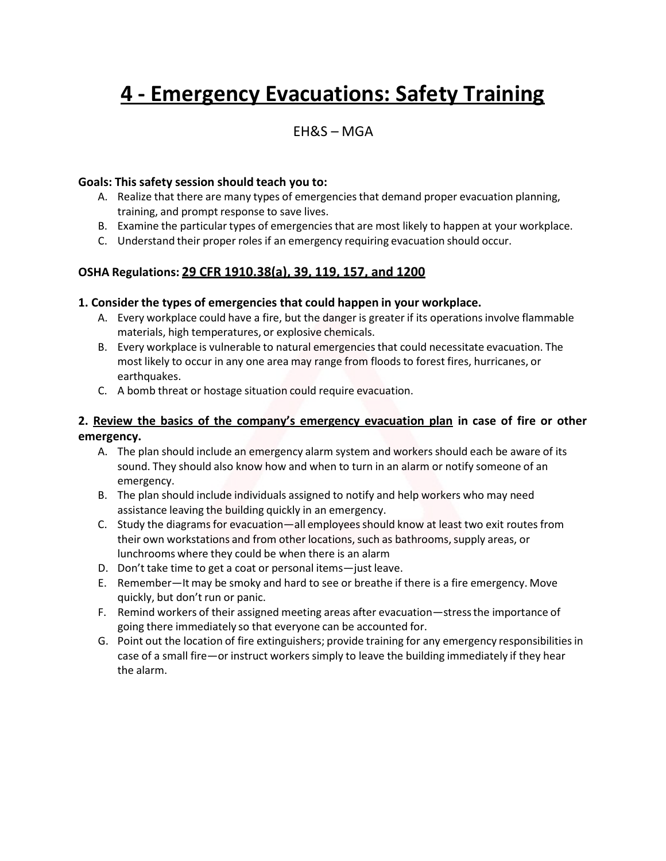# **4 - Emergency Evacuations: Safety Training**

# EH&S – MGA

#### **Goals: This safety session should teach you to:**

- A. Realize that there are many types of emergencies that demand proper evacuation planning, training, and prompt response to save lives.
- B. Examine the particular types of emergenciesthat are most likely to happen at your workplace.
- C. Understand their proper roles if an emergency requiring evacuation should occur.

## **OSHA Regulations: 29 CFR 1910.38(a), 39, 119, 157, and 1200**

#### **1. Consider the types of emergencies that could happen in your workplace.**

- A. Every workplace could have a fire, but the danger is greater if its operationsinvolve flammable materials, high temperatures, or explosive chemicals.
- B. Every workplace is vulnerable to natural emergenciesthat could necessitate evacuation. The most likely to occur in any one area may range from floodsto forest fires, hurricanes, or earthquakes.
- C. A bomb threat or hostage situation could require evacuation.

## **2. Review the basics of the company's emergency evacuation plan in case of fire or other emergency.**

- A. The plan should include an emergency alarm system and workers should each be aware of its sound. They should also know how and when to turn in an alarm or notify someone of an emergency.
- B. The plan should include individuals assigned to notify and help workers who may need assistance leaving the building quickly in an emergency.
- C. Study the diagramsfor evacuation—all employeesshould know at least two exit routes from their own workstations and from other locations, such as bathrooms, supply areas, or lunchrooms where they could be when there is an alarm
- D. Don't take time to get a coat or personal items—just leave.
- E. Remember—It may be smoky and hard to see or breathe if there is a fire emergency. Move quickly, but don't run or panic.
- F. Remind workers of their assigned meeting areas after evacuation—stressthe importance of going there immediately so that everyone can be accounted for.
- G. Point out the location of fire extinguishers; provide training for any emergency responsibilitiesin case of a small fire—or instruct workers simply to leave the building immediately if they hear the alarm.